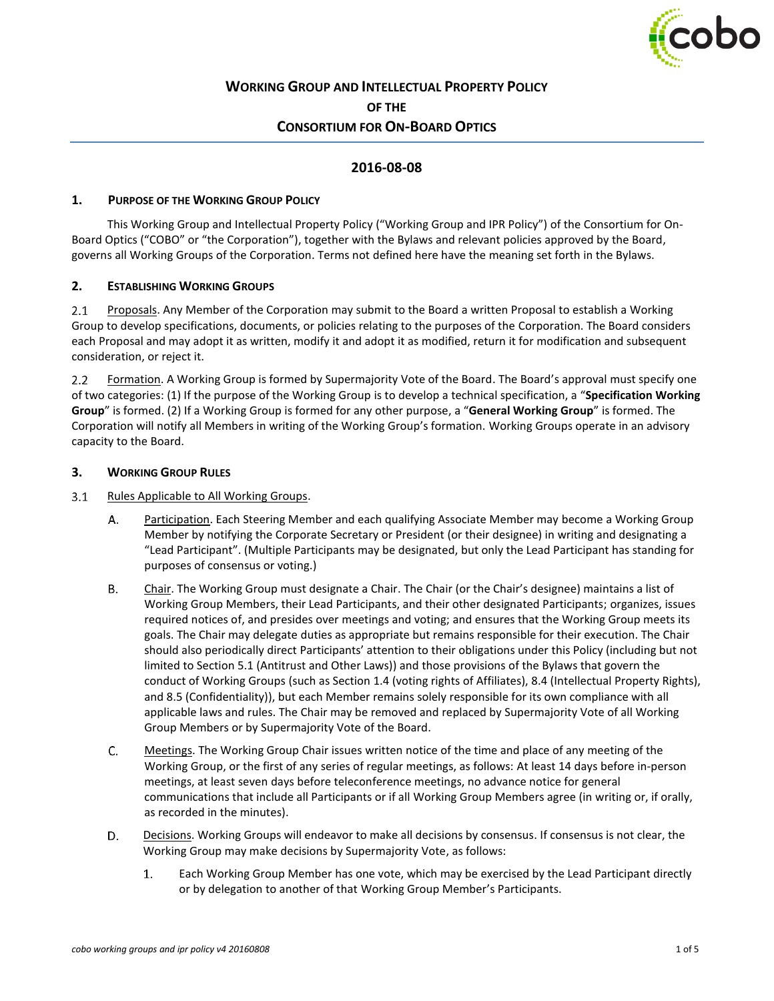

# **WORKING GROUP AND INTELLECTUAL PROPERTY POLICY OF THE CONSORTIUM FOR ON-BOARD OPTICS**

# **2016-08-08**

### **1. PURPOSE OF THE WORKING GROUP POLICY**

This Working Group and Intellectual Property Policy ("Working Group and IPR Policy") of the Consortium for On-Board Optics ("COBO" or "the Corporation"), together with the Bylaws and relevant policies approved by the Board, governs all Working Groups of the Corporation. Terms not defined here have the meaning set forth in the Bylaws.

### **2. ESTABLISHING WORKING GROUPS**

 $2.1$ Proposals. Any Member of the Corporation may submit to the Board a written Proposal to establish a Working Group to develop specifications, documents, or policies relating to the purposes of the Corporation. The Board considers each Proposal and may adopt it as written, modify it and adopt it as modified, return it for modification and subsequent consideration, or reject it.

Formation. A Working Group is formed by Supermajority Vote of the Board. The Board's approval must specify one  $2.2^{\circ}$ of two categories: (1) If the purpose of the Working Group is to develop a technical specification, a "**Specification Working Group**" is formed. (2) If a Working Group is formed for any other purpose, a "**General Working Group**" is formed. The Corporation will notify all Members in writing of the Working Group's formation. Working Groups operate in an advisory capacity to the Board.

#### **3. WORKING GROUP RULES**

#### <span id="page-0-0"></span> $3.1$ Rules Applicable to All Working Groups.

- Α. Participation. Each Steering Member and each qualifying Associate Member may become a Working Group Member by notifying the Corporate Secretary or President (or their designee) in writing and designating a "Lead Participant". (Multiple Participants may be designated, but only the Lead Participant has standing for purposes of consensus or voting.)
- **B.** Chair. The Working Group must designate a Chair. The Chair (or the Chair's designee) maintains a list of Working Group Members, their Lead Participants, and their other designated Participants; organizes, issues required notices of, and presides over meetings and voting; and ensures that the Working Group meets its goals. The Chair may delegate duties as appropriate but remains responsible for their execution. The Chair should also periodically direct Participants' attention to their obligations under this Policy (including but not limited to Section [5.1](#page-3-0) (Antitrust and Other Laws)) and those provisions of the Bylaws that govern the conduct of Working Groups (such as Section 1.4 (voting rights of Affiliates), 8.4 (Intellectual Property Rights), and 8.5 (Confidentiality)), but each Member remains solely responsible for its own compliance with all applicable laws and rules. The Chair may be removed and replaced by Supermajority Vote of all Working Group Members or by Supermajority Vote of the Board.
- C. Meetings. The Working Group Chair issues written notice of the time and place of any meeting of the Working Group, or the first of any series of regular meetings, as follows: At least 14 days before in-person meetings, at least seven days before teleconference meetings, no advance notice for general communications that include all Participants or if all Working Group Members agree (in writing or, if orally, as recorded in the minutes).
- D. Decisions. Working Groups will endeavor to make all decisions by consensus. If consensus is not clear, the Working Group may make decisions by Supermajority Vote, as follows:
	- $1.$ Each Working Group Member has one vote, which may be exercised by the Lead Participant directly or by delegation to another of that Working Group Member's Participants.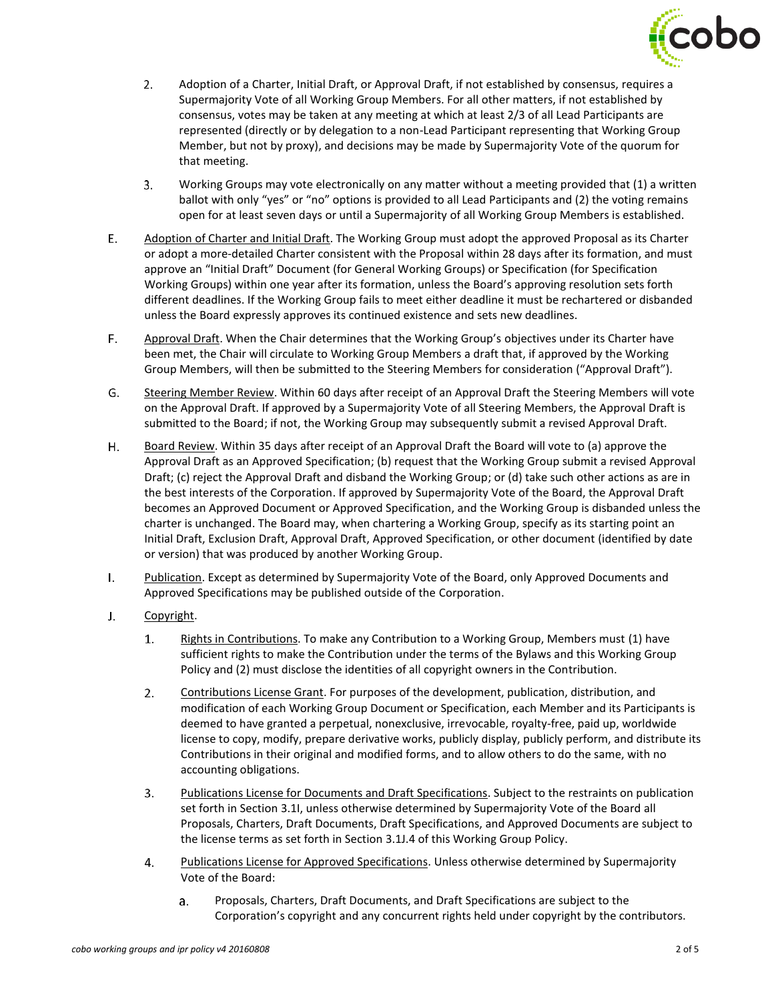

- $2.$ Adoption of a Charter, Initial Draft, or Approval Draft, if not established by consensus, requires a Supermajority Vote of all Working Group Members. For all other matters, if not established by consensus, votes may be taken at any meeting at which at least 2/3 of all Lead Participants are represented (directly or by delegation to a non-Lead Participant representing that Working Group Member, but not by proxy), and decisions may be made by Supermajority Vote of the quorum for that meeting.
- 3. Working Groups may vote electronically on any matter without a meeting provided that (1) a written ballot with only "yes" or "no" options is provided to all Lead Participants and (2) the voting remains open for at least seven days or until a Supermajority of all Working Group Members is established.
- E. Adoption of Charter and Initial Draft. The Working Group must adopt the approved Proposal as its Charter or adopt a more-detailed Charter consistent with the Proposal within 28 days after its formation, and must approve an "Initial Draft" Document (for General Working Groups) or Specification (for Specification Working Groups) within one year after its formation, unless the Board's approving resolution sets forth different deadlines. If the Working Group fails to meet either deadline it must be rechartered or disbanded unless the Board expressly approves its continued existence and sets new deadlines.
- F. Approval Draft. When the Chair determines that the Working Group's objectives under its Charter have been met, the Chair will circulate to Working Group Members a draft that, if approved by the Working Group Members, will then be submitted to the Steering Members for consideration ("Approval Draft").
- G. Steering Member Review. Within 60 days after receipt of an Approval Draft the Steering Members will vote on the Approval Draft. If approved by a Supermajority Vote of all Steering Members, the Approval Draft is submitted to the Board; if not, the Working Group may subsequently submit a revised Approval Draft.
- Η. Board Review. Within 35 days after receipt of an Approval Draft the Board will vote to (a) approve the Approval Draft as an Approved Specification; (b) request that the Working Group submit a revised Approval Draft; (c) reject the Approval Draft and disband the Working Group; or (d) take such other actions as are in the best interests of the Corporation. If approved by Supermajority Vote of the Board, the Approval Draft becomes an Approved Document or Approved Specification, and the Working Group is disbanded unless the charter is unchanged. The Board may, when chartering a Working Group, specify as its starting point an Initial Draft, Exclusion Draft, Approval Draft, Approved Specification, or other document (identified by date or version) that was produced by another Working Group.
- <span id="page-1-0"></span> $\mathbf{L}$ Publication. Except as determined by Supermajority Vote of the Board, only Approved Documents and Approved Specifications may be published outside of the Corporation.
- <span id="page-1-2"></span><span id="page-1-1"></span> $J_{\star}$ Copyright.
	- $1.$ Rights in Contributions. To make any Contribution to a Working Group, Members must (1) have sufficient rights to make the Contribution under the terms of the Bylaws and this Working Group Policy and (2) must disclose the identities of all copyright owners in the Contribution.
	- $2.$ Contributions License Grant. For purposes of the development, publication, distribution, and modification of each Working Group Document or Specification, each Member and its Participants is deemed to have granted a perpetual, nonexclusive, irrevocable, royalty-free, paid up, worldwide license to copy, modify, prepare derivative works, publicly display, publicly perform, and distribute its Contributions in their original and modified forms, and to allow others to do the same, with no accounting obligations.
	- $3.$ Publications License for Documents and Draft Specifications. Subject to the restraints on publication set forth in Section [3.1I,](#page-1-0) unless otherwise determined by Supermajority Vote of the Board all Proposals, Charters, Draft Documents, Draft Specifications, and Approved Documents are subject to the license terms as set forth in Section [3.1J.4](#page-1-1) of this Working Group Policy.
	- 4. Publications License for Approved Specifications. Unless otherwise determined by Supermajority Vote of the Board:
		- $a<sub>r</sub>$ Proposals, Charters, Draft Documents, and Draft Specifications are subject to the Corporation's copyright and any concurrent rights held under copyright by the contributors.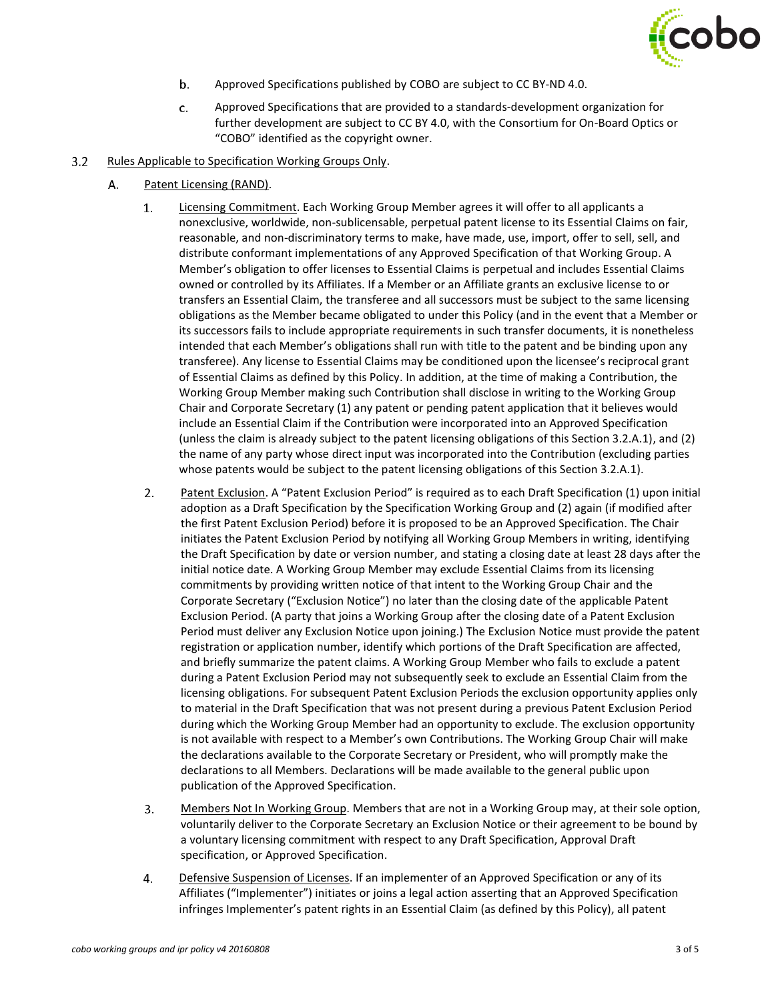

- b. Approved Specifications published by COBO are subject to CC BY-ND 4.0.
- c. Approved Specifications that are provided to a standards-development organization for further development are subject to CC BY 4.0, with the Consortium for On-Board Optics or "COBO" identified as the copyright owner.
- <span id="page-2-0"></span> $3.2$ Rules Applicable to Specification Working Groups Only.
	- A. Patent Licensing (RAND).
		- $1.$ Licensing Commitment. Each Working Group Member agrees it will offer to all applicants a nonexclusive, worldwide, non-sublicensable, perpetual patent license to its Essential Claims on fair, reasonable, and non-discriminatory terms to make, have made, use, import, offer to sell, sell, and distribute conformant implementations of any Approved Specification of that Working Group. A Member's obligation to offer licenses to Essential Claims is perpetual and includes Essential Claims owned or controlled by its Affiliates. If a Member or an Affiliate grants an exclusive license to or transfers an Essential Claim, the transferee and all successors must be subject to the same licensing obligations as the Member became obligated to under this Policy (and in the event that a Member or its successors fails to include appropriate requirements in such transfer documents, it is nonetheless intended that each Member's obligations shall run with title to the patent and be binding upon any transferee). Any license to Essential Claims may be conditioned upon the licensee's reciprocal grant of Essential Claims as defined by this Policy. In addition, at the time of making a Contribution, the Working Group Member making such Contribution shall disclose in writing to the Working Group Chair and Corporate Secretary (1) any patent or pending patent application that it believes would include an Essential Claim if the Contribution were incorporated into an Approved Specification (unless the claim is already subject to the patent licensing obligations of this Section 3.2.A.1), and (2) the name of any party whose direct input was incorporated into the Contribution (excluding parties whose patents would be subject to the patent licensing obligations of this Section 3.2.A.1).
		- $2.$ Patent Exclusion. A "Patent Exclusion Period" is required as to each Draft Specification (1) upon initial adoption as a Draft Specification by the Specification Working Group and (2) again (if modified after the first Patent Exclusion Period) before it is proposed to be an Approved Specification. The Chair initiates the Patent Exclusion Period by notifying all Working Group Members in writing, identifying the Draft Specification by date or version number, and stating a closing date at least 28 days after the initial notice date. A Working Group Member may exclude Essential Claims from its licensing commitments by providing written notice of that intent to the Working Group Chair and the Corporate Secretary ("Exclusion Notice") no later than the closing date of the applicable Patent Exclusion Period. (A party that joins a Working Group after the closing date of a Patent Exclusion Period must deliver any Exclusion Notice upon joining.) The Exclusion Notice must provide the patent registration or application number, identify which portions of the Draft Specification are affected, and briefly summarize the patent claims. A Working Group Member who fails to exclude a patent during a Patent Exclusion Period may not subsequently seek to exclude an Essential Claim from the licensing obligations. For subsequent Patent Exclusion Periods the exclusion opportunity applies only to material in the Draft Specification that was not present during a previous Patent Exclusion Period during which the Working Group Member had an opportunity to exclude. The exclusion opportunity is not available with respect to a Member's own Contributions. The Working Group Chair will make the declarations available to the Corporate Secretary or President, who will promptly make the declarations to all Members. Declarations will be made available to the general public upon publication of the Approved Specification.
		- $3.$ Members Not In Working Group. Members that are not in a Working Group may, at their sole option, voluntarily deliver to the Corporate Secretary an Exclusion Notice or their agreement to be bound by a voluntary licensing commitment with respect to any Draft Specification, Approval Draft specification, or Approved Specification.
		- $4.$ Defensive Suspension of Licenses. If an implementer of an Approved Specification or any of its Affiliates ("Implementer") initiates or joins a legal action asserting that an Approved Specification infringes Implementer's patent rights in an Essential Claim (as defined by this Policy), all patent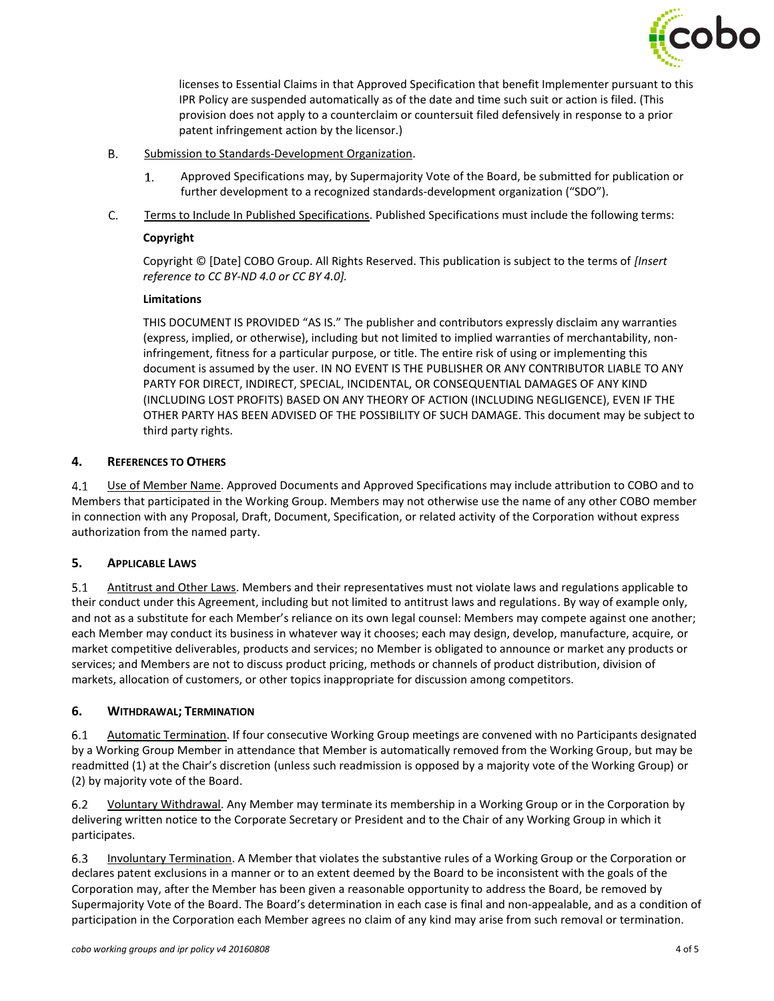

licenses to Essential Claims in that Approved Specification that benefit Implementer pursuant to this IPR Policy are suspended automatically as of the date and time such suit or action is filed. (This provision does not apply to a counterclaim or countersuit filed defensively in response to a prior patent infringement action by the licensor.)

- **B.** Submission to Standards-Development Organization.
	- $1.$ Approved Specifications may, by Supermajority Vote of the Board, be submitted for publication or further development to a recognized standards-development organization ("SDO").
- C. Terms to Include In Published Specifications. Published Specifications must include the following terms:

#### **Copyright**

Copyright © [Date] COBO Group. All Rights Reserved. This publication is subject to the terms of *[Insert reference to CC BY-ND 4.0 or CC BY 4.0].*

### **Limitations**

THIS DOCUMENT IS PROVIDED "AS IS." The publisher and contributors expressly disclaim any warranties (express, implied, or otherwise), including but not limited to implied warranties of merchantability, noninfringement, fitness for a particular purpose, or title. The entire risk of using or implementing this document is assumed by the user. IN NO EVENT IS THE PUBLISHER OR ANY CONTRIBUTOR LIABLE TO ANY PARTY FOR DIRECT, INDIRECT, SPECIAL, INCIDENTAL, OR CONSEQUENTIAL DAMAGES OF ANY KIND (INCLUDING LOST PROFITS) BASED ON ANY THEORY OF ACTION (INCLUDING NEGLIGENCE), EVEN IF THE OTHER PARTY HAS BEEN ADVISED OF THE POSSIBILITY OF SUCH DAMAGE. This document may be subject to third party rights.

# <span id="page-3-1"></span>**4. REFERENCES TO OTHERS**

 $4.1$ Use of Member Name. Approved Documents and Approved Specifications may include attribution to COBO and to Members that participated in the Working Group. Members may not otherwise use the name of any other COBO member in connection with any Proposal, Draft, Document, Specification, or related activity of the Corporation without express authorization from the named party.

# <span id="page-3-2"></span>**5. APPLICABLE LAWS**

<span id="page-3-0"></span> $5.1$ Antitrust and Other Laws. Members and their representatives must not violate laws and regulations applicable to their conduct under this Agreement, including but not limited to antitrust laws and regulations. By way of example only, and not as a substitute for each Member's reliance on its own legal counsel: Members may compete against one another; each Member may conduct its business in whatever way it chooses; each may design, develop, manufacture, acquire, or market competitive deliverables, products and services; no Member is obligated to announce or market any products or services; and Members are not to discuss product pricing, methods or channels of product distribution, division of markets, allocation of customers, or other topics inappropriate for discussion among competitors.

# **6. WITHDRAWAL; TERMINATION**

 $6.1$ Automatic Termination. If four consecutive Working Group meetings are convened with no Participants designated by a Working Group Member in attendance that Member is automatically removed from the Working Group, but may be readmitted (1) at the Chair's discretion (unless such readmission is opposed by a majority vote of the Working Group) or (2) by majority vote of the Board.

 $6.2$ Voluntary Withdrawal. Any Member may terminate its membership in a Working Group or in the Corporation by delivering written notice to the Corporate Secretary or President and to the Chair of any Working Group in which it participates.

6.3 Involuntary Termination. A Member that violates the substantive rules of a Working Group or the Corporation or declares patent exclusions in a manner or to an extent deemed by the Board to be inconsistent with the goals of the Corporation may, after the Member has been given a reasonable opportunity to address the Board, be removed by Supermajority Vote of the Board. The Board's determination in each case is final and non-appealable, and as a condition of participation in the Corporation each Member agrees no claim of any kind may arise from such removal or termination.